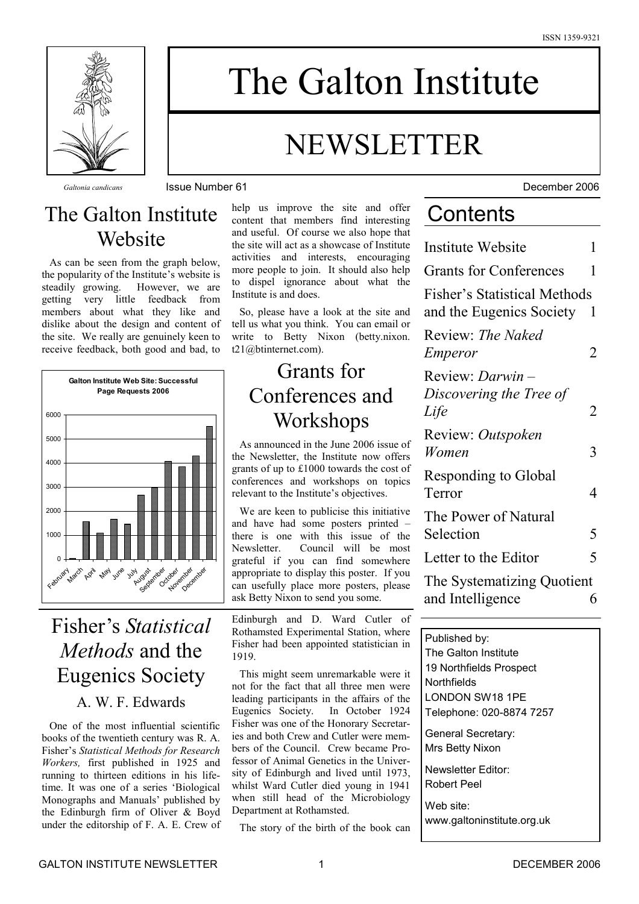

# The Galton Institute

## NEWSLETTER

### The Galton Institute **Website**

As can be seen from the graph below, the popularity of the Institute's website is steadily growing. However, we are getting very little feedback from members about what they like and dislike about the design and content of the site. We really are genuinely keen to receive feedback, both good and bad, to



### Fisher's *Statistical Methods* and the Eugenics Society

### A. W. F. Edwards

One of the most influential scientific books of the twentieth century was R. A. Fisher's *Statistical Methods for Research Workers,* first published in 1925 and running to thirteen editions in his lifetime. It was one of a series 'Biological Monographs and Manuals' published by the Edinburgh firm of Oliver & Boyd under the editorship of F. A. E. Crew of help us improve the site and offer content that members find interesting and useful. Of course we also hope that the site will act as a showcase of Institute activities and interests, encouraging more people to join. It should also help to dispel ignorance about what the Institute is and does.

So, please have a look at the site and tell us what you think. You can email or write to Betty Nixon (betty.nixon. t21@btinternet.com).

### Grants for Conferences and **Workshops**

As announced in the June 2006 issue of the Newsletter, the Institute now offers grants of up to £1000 towards the cost of conferences and workshops on topics relevant to the Institute's objectives.

We are keen to publicise this initiative and have had some posters printed – there is one with this issue of the Newsletter. Council will be most grateful if you can find somewhere appropriate to display this poster. If you can usefully place more posters, please ask Betty Nixon to send you some.

Edinburgh and D. Ward Cutler of Rothamsted Experimental Station, where Fisher had been appointed statistician in 1919.

This might seem unremarkable were it not for the fact that all three men were leading participants in the affairs of the Eugenics Society. In October 1924 Fisher was one of the Honorary Secretaries and both Crew and Cutler were members of the Council. Crew became Professor of Animal Genetics in the University of Edinburgh and lived until 1973, whilst Ward Cutler died young in 1941 when still head of the Microbiology Department at Rothamsted.

The story of the birth of the book can

*Galtonia candicans* Issue Number 61 December 2006

### **Contents**

| Institute Website                                               | 1 |  |  |  |  |  |
|-----------------------------------------------------------------|---|--|--|--|--|--|
| <b>Grants for Conferences</b>                                   |   |  |  |  |  |  |
| <b>Fisher's Statistical Methods</b><br>and the Eugenics Society | 1 |  |  |  |  |  |
| Review: The Naked<br><i>Emperor</i>                             | 2 |  |  |  |  |  |
| Review: Darwin -<br>Discovering the Tree of<br>Life             | 2 |  |  |  |  |  |
| Review: Outspoken<br>Women                                      | 3 |  |  |  |  |  |
| <b>Responding to Global</b><br>Terror                           | 4 |  |  |  |  |  |
| The Power of Natural<br>Selection                               | 5 |  |  |  |  |  |
| Letter to the Editor                                            | 5 |  |  |  |  |  |
| The Systematizing Quotient                                      |   |  |  |  |  |  |
| and Intelligence                                                | 6 |  |  |  |  |  |
|                                                                 |   |  |  |  |  |  |
| Published by:                                                   |   |  |  |  |  |  |

The Galton Institute 19 Northfields Prospect **Northfields** LONDON SW18 1PE Telephone: 020-8874 7257 General Secretary: Mrs Betty Nixon Newsletter Editor: Robert Peel Web site:

www.galtoninstitute.org.uk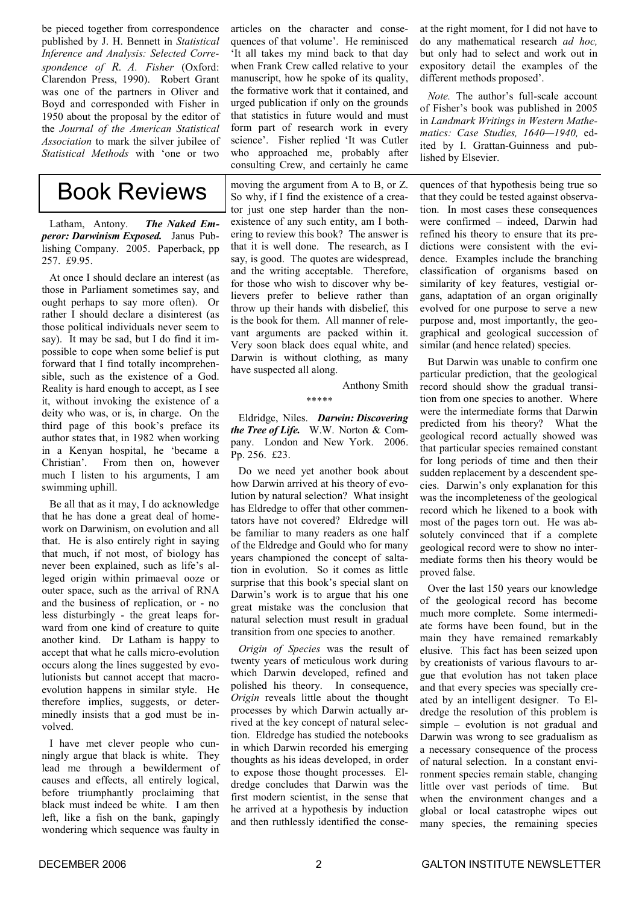be pieced together from correspondence published by J. H. Bennett in *Statistical Inference and Analysis: Selected Correspondence of R. A. Fisher* (Oxford: Clarendon Press, 1990). Robert Grant was one of the partners in Oliver and Boyd and corresponded with Fisher in 1950 about the proposal by the editor of the *Journal of the American Statistical Association* to mark the silver jubilee of *Statistical Methods* with 'one or two

### Book Reviews

Latham, Antony. *The Naked Emperor: Darwinism Exposed.* Janus Publishing Company. 2005. Paperback, pp 257 **£9.95** 

At once I should declare an interest (as those in Parliament sometimes say, and ought perhaps to say more often). Or rather I should declare a disinterest (as those political individuals never seem to say). It may be sad, but I do find it impossible to cope when some belief is put forward that I find totally incomprehensible, such as the existence of a God. Reality is hard enough to accept, as I see it, without invoking the existence of a deity who was, or is, in charge. On the third page of this book's preface its author states that, in 1982 when working in a Kenyan hospital, he 'became a Christian'. From then on, however much I listen to his arguments, I am swimming uphill.

Be all that as it may, I do acknowledge that he has done a great deal of homework on Darwinism, on evolution and all that. He is also entirely right in saying that much, if not most, of biology has never been explained, such as life's alleged origin within primaeval ooze or outer space, such as the arrival of RNA and the business of replication, or - no less disturbingly - the great leaps forward from one kind of creature to quite another kind. Dr Latham is happy to accept that what he calls micro-evolution occurs along the lines suggested by evolutionists but cannot accept that macroevolution happens in similar style. He therefore implies, suggests, or determinedly insists that a god must be involved.

I have met clever people who cunningly argue that black is white. They lead me through a bewilderment of causes and effects, all entirely logical, before triumphantly proclaiming that black must indeed be white. I am then left, like a fish on the bank, gapingly wondering which sequence was faulty in

articles on the character and consequences of that volume'. He reminisced 'It all takes my mind back to that day when Frank Crew called relative to your manuscript, how he spoke of its quality, the formative work that it contained, and urged publication if only on the grounds that statistics in future would and must form part of research work in every science'. Fisher replied 'It was Cutler who approached me, probably after consulting Crew, and certainly he came

moving the argument from A to B, or Z. So why, if I find the existence of a creator just one step harder than the nonexistence of any such entity, am I bothering to review this book? The answer is that it is well done. The research, as I say, is good. The quotes are widespread, and the writing acceptable. Therefore, for those who wish to discover why believers prefer to believe rather than throw up their hands with disbelief this is the book for them. All manner of relevant arguments are packed within it. Very soon black does equal white, and Darwin is without clothing, as many have suspected all along.

Anthony Smith

\*\*\*\*\*

Eldridge, Niles. *Darwin: Discovering the Tree of Life.* W.W. Norton & Company. London and New York. 2006. Pp. 256. £23.

Do we need yet another book about how Darwin arrived at his theory of evolution by natural selection? What insight has Eldredge to offer that other commentators have not covered? Eldredge will be familiar to many readers as one half of the Eldredge and Gould who for many years championed the concept of saltation in evolution. So it comes as little surprise that this book's special slant on Darwin's work is to argue that his one great mistake was the conclusion that natural selection must result in gradual transition from one species to another.

*Origin of Species* was the result of twenty years of meticulous work during which Darwin developed, refined and polished his theory. In consequence, *Origin* reveals little about the thought processes by which Darwin actually arrived at the key concept of natural selection. Eldredge has studied the notebooks in which Darwin recorded his emerging thoughts as his ideas developed, in order to expose those thought processes. Eldredge concludes that Darwin was the first modern scientist, in the sense that he arrived at a hypothesis by induction and then ruthlessly identified the conseat the right moment, for I did not have to do any mathematical research *ad hoc,*  but only had to select and work out in expository detail the examples of the different methods proposed'.

*Note.* The author's full-scale account of Fisher's book was published in 2005 in *Landmark Writings in Western Mathematics: Case Studies, 1640—1940,* edited by I. Grattan-Guinness and published by Elsevier.

quences of that hypothesis being true so that they could be tested against observation. In most cases these consequences were confirmed – indeed, Darwin had refined his theory to ensure that its predictions were consistent with the evidence. Examples include the branching classification of organisms based on similarity of key features, vestigial organs, adaptation of an organ originally evolved for one purpose to serve a new purpose and, most importantly, the geographical and geological succession of similar (and hence related) species.

But Darwin was unable to confirm one particular prediction, that the geological record should show the gradual transition from one species to another. Where were the intermediate forms that Darwin predicted from his theory? What the geological record actually showed was that particular species remained constant for long periods of time and then their sudden replacement by a descendent species. Darwin's only explanation for this was the incompleteness of the geological record which he likened to a book with most of the pages torn out. He was absolutely convinced that if a complete geological record were to show no intermediate forms then his theory would be proved false.

Over the last 150 years our knowledge of the geological record has become much more complete. Some intermediate forms have been found, but in the main they have remained remarkably elusive. This fact has been seized upon by creationists of various flavours to argue that evolution has not taken place and that every species was specially created by an intelligent designer. To Eldredge the resolution of this problem is simple – evolution is not gradual and Darwin was wrong to see gradualism as a necessary consequence of the process of natural selection. In a constant environment species remain stable, changing little over vast periods of time. But when the environment changes and a global or local catastrophe wipes out many species, the remaining species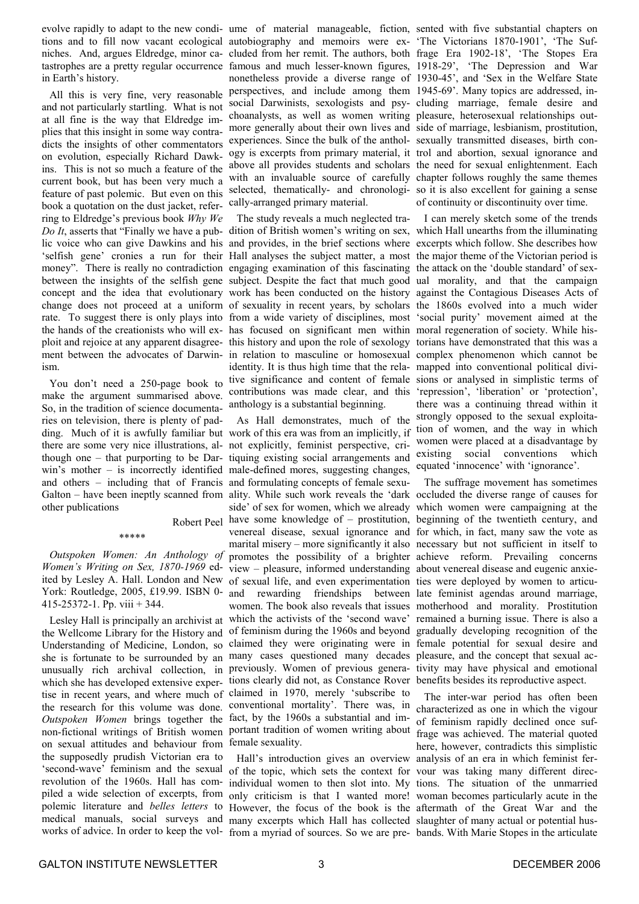evolve rapidly to adapt to the new condi-ume of material manageable, fiction, sented with five substantial chapters on tastrophes are a pretty regular occurrence in Earth's history.

All this is very fine, very reasonable and not particularly startling. What is not at all fine is the way that Eldredge implies that this insight in some way contradicts the insights of other commentators on evolution, especially Richard Dawkins. This is not so much a feature of the current book, but has been very much a feature of past polemic. But even on this book a quotation on the dust jacket, referring to Eldredge's previous book *Why We Do It*, asserts that "Finally we have a pub-dition of British women's writing on sex, which Hall unearths from the illuminating lic voice who can give Dawkins and his and provides, in the brief sections where excerpts which follow. She describes how 'selfish gene' cronies a run for their Hall analyses the subject matter, a most the major theme of the Victorian period is money". There is really no contradiction engaging examination of this fascinating the attack on the 'double standard' of sexbetween the insights of the selfish gene subject. Despite the fact that much good ual morality, and that the campaign concept and the idea that evolutionary work has been conducted on the history against the Contagious Diseases Acts of change does not proceed at a uniform of sexuality in recent years, by scholars the 1860s evolved into a much wider rate. To suggest there is only plays into from a wide variety of disciplines, most 'social purity' movement aimed at the the hands of the creationists who will ex-has focused on significant men within moral regeneration of society. While hisploit and rejoice at any apparent disagree-this history and upon the role of sexology torians have demonstrated that this was a ment between the advocates of Darwin-in relation to masculine or homosexual complex phenomenon which cannot be ism.

You don't need a 250-page book to make the argument summarised above. So, in the tradition of science documentaries on television, there is plenty of padding. Much of it is awfully familiar but work of this era was from an implicitly, if there are some very nice illustrations, al-not explicitly, feminist perspective, crithough one – that purporting to be Darwin's mother – is incorrectly identified male-defined mores, suggesting changes, and others – including that of Francis and formulating concepts of female sexuother publications

#### \*\*\*\*\*

*Outspoken Women: An Anthology of Women's Writing on Sex, 1870-1969* ed-York: Routledge, 2005, £19.99. ISBN 0- 415-25372-1. Pp. viii + 344.

Lesley Hall is principally an archivist at the Wellcome Library for the History and Understanding of Medicine, London, so she is fortunate to be surrounded by an unusually rich archival collection, in which she has developed extensive expertise in recent years, and where much of the research for this volume was done. *Outspoken Women* brings together the fact, by the 1960s a substantial and imnon-fictional writings of British women on sexual attitudes and behaviour from the supposedly prudish Victorian era to 'second-wave' feminism and the sexual revolution of the 1960s. Hall has compiled a wide selection of excerpts, from polemic literature and *belles letters* to medical manuals, social surveys and

tions and to fill now vacant ecological autobiography and memoirs were ex-'The Victorians 1870-1901', 'The Sufniches. And, argues Eldredge, minor ca-cluded from her remit. The authors, both frage Era 1902-18', 'The Stopes Era famous and much lesser-known figures, nonetheless provide a diverse range of perspectives, and include among them 1945-69'. Many topics are addressed, insocial Darwinists, sexologists and psy-cluding marriage, female desire and choanalysts, as well as women writing pleasure, heterosexual relationships outmore generally about their own lives and side of marriage, lesbianism, prostitution, experiences. Since the bulk of the anthol-sexually transmitted diseases, birth conogy is excerpts from primary material, it trol and abortion, sexual ignorance and above all provides students and scholars the need for sexual enlightenment. Each with an invaluable source of carefully chapter follows roughly the same themes selected, thematically- and chronologi-so it is also excellent for gaining a sense cally-arranged primary material.

> identity. It is thus high time that the rela-mapped into conventional political divitive significance and content of female sions or analysed in simplistic terms of contributions was made clear, and this 'repression', 'liberation' or 'protection', anthology is a substantial beginning.

Galton – have been ineptly scanned from ality. While such work reveals the 'dark occluded the diverse range of causes for Robert Peel have some knowledge of – prostitution, beginning of the twentieth century, and ited by Lesley A. Hall. London and New of sexual life, and even experimentation ties were deployed by women to articu-As Hall demonstrates, much of the tiquing existing social arrangements and side' of sex for women, which we already which women were campaigning at the venereal disease, sexual ignorance and for which, in fact, many saw the vote as marital misery – more significantly it also necessary but not sufficient in itself to promotes the possibility of a brighter achieve reform. Prevailing concerns view – pleasure, informed understanding about venereal disease and eugenic anxieand rewarding friendships between late feminist agendas around marriage, women. The book also reveals that issues motherhood and morality. Prostitution which the activists of the 'second wave' remained a burning issue. There is also a of feminism during the 1960s and beyond gradually developing recognition of the claimed they were originating were in female potential for sexual desire and many cases questioned many decades pleasure, and the concept that sexual acpreviously. Women of previous genera-tivity may have physical and emotional tions clearly did not, as Constance Rover benefits besides its reproductive aspect. claimed in 1970, merely 'subscribe to conventional mortality'. There was, in portant tradition of women writing about female sexuality.

works of advice. In order to keep the vol-from a myriad of sources. So we are pre-bands. With Marie Stopes in the articulate of the topic, which sets the context for vour was taking many different direcindividual women to then slot into. My tions. The situation of the unmarried only criticism is that I wanted more! woman becomes particularly acute in the However, the focus of the book is the aftermath of the Great War and the many excerpts which Hall has collected slaughter of many actual or potential hus-

1918-29', 'The Depression and War 1930-45', and 'Sex in the Welfare State of continuity or discontinuity over time.

The study reveals a much neglected tra-I can merely sketch some of the trends there was a continuing thread within it strongly opposed to the sexual exploitation of women, and the way in which women were placed at a disadvantage by existing social conventions which equated 'innocence' with 'ignorance'.

The suffrage movement has sometimes

Hall's introduction gives an overview analysis of an era in which feminist fer-The inter-war period has often been characterized as one in which the vigour of feminism rapidly declined once suffrage was achieved. The material quoted here, however, contradicts this simplistic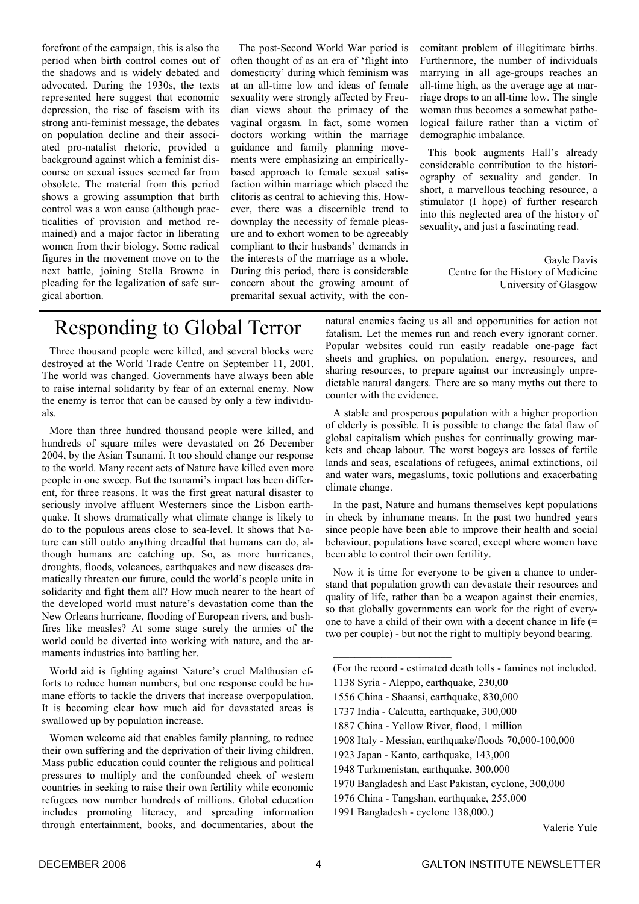forefront of the campaign, this is also the period when birth control comes out of the shadows and is widely debated and advocated. During the 1930s, the texts represented here suggest that economic depression, the rise of fascism with its strong anti-feminist message, the debates on population decline and their associated pro-natalist rhetoric, provided a background against which a feminist discourse on sexual issues seemed far from obsolete. The material from this period shows a growing assumption that birth control was a won cause (although practicalities of provision and method remained) and a major factor in liberating women from their biology. Some radical figures in the movement move on to the next battle, joining Stella Browne in pleading for the legalization of safe surgical abortion.

The post-Second World War period is often thought of as an era of 'flight into domesticity' during which feminism was at an all-time low and ideas of female sexuality were strongly affected by Freudian views about the primacy of the vaginal orgasm. In fact, some women doctors working within the marriage guidance and family planning movements were emphasizing an empiricallybased approach to female sexual satisfaction within marriage which placed the clitoris as central to achieving this. However, there was a discernible trend to downplay the necessity of female pleasure and to exhort women to be agreeably compliant to their husbands' demands in the interests of the marriage as a whole. During this period, there is considerable concern about the growing amount of premarital sexual activity, with the concomitant problem of illegitimate births. Furthermore, the number of individuals marrying in all age-groups reaches an all-time high, as the average age at marriage drops to an all-time low. The single woman thus becomes a somewhat pathological failure rather than a victim of demographic imbalance.

This book augments Hall's already considerable contribution to the historiography of sexuality and gender. In short, a marvellous teaching resource, a stimulator (I hope) of further research into this neglected area of the history of sexuality, and just a fascinating read.

> Gayle Davis Centre for the History of Medicine University of Glasgow

### Responding to Global Terror

Three thousand people were killed, and several blocks were destroyed at the World Trade Centre on September 11, 2001. The world was changed. Governments have always been able to raise internal solidarity by fear of an external enemy. Now the enemy is terror that can be caused by only a few individuals.

More than three hundred thousand people were killed, and hundreds of square miles were devastated on 26 December 2004, by the Asian Tsunami. It too should change our response to the world. Many recent acts of Nature have killed even more people in one sweep. But the tsunami's impact has been different, for three reasons. It was the first great natural disaster to seriously involve affluent Westerners since the Lisbon earthquake. It shows dramatically what climate change is likely to do to the populous areas close to sea-level. It shows that Nature can still outdo anything dreadful that humans can do, although humans are catching up. So, as more hurricanes, droughts, floods, volcanoes, earthquakes and new diseases dramatically threaten our future, could the world's people unite in solidarity and fight them all? How much nearer to the heart of the developed world must nature's devastation come than the New Orleans hurricane, flooding of European rivers, and bushfires like measles? At some stage surely the armies of the world could be diverted into working with nature, and the armaments industries into battling her.

World aid is fighting against Nature's cruel Malthusian efforts to reduce human numbers, but one response could be humane efforts to tackle the drivers that increase overpopulation. It is becoming clear how much aid for devastated areas is swallowed up by population increase.

Women welcome aid that enables family planning, to reduce their own suffering and the deprivation of their living children. Mass public education could counter the religious and political pressures to multiply and the confounded cheek of western countries in seeking to raise their own fertility while economic refugees now number hundreds of millions. Global education includes promoting literacy, and spreading information through entertainment, books, and documentaries, about the

natural enemies facing us all and opportunities for action not fatalism. Let the memes run and reach every ignorant corner. Popular websites could run easily readable one-page fact sheets and graphics, on population, energy, resources, and sharing resources, to prepare against our increasingly unpredictable natural dangers. There are so many myths out there to counter with the evidence.

A stable and prosperous population with a higher proportion of elderly is possible. It is possible to change the fatal flaw of global capitalism which pushes for continually growing markets and cheap labour. The worst bogeys are losses of fertile lands and seas, escalations of refugees, animal extinctions, oil and water wars, megaslums, toxic pollutions and exacerbating climate change.

In the past, Nature and humans themselves kept populations in check by inhumane means. In the past two hundred years since people have been able to improve their health and social behaviour, populations have soared, except where women have been able to control their own fertility.

Now it is time for everyone to be given a chance to understand that population growth can devastate their resources and quality of life, rather than be a weapon against their enemies, so that globally governments can work for the right of everyone to have a child of their own with a decent chance in life (= two per couple) - but not the right to multiply beyond bearing.

1138 Syria - Aleppo, earthquake, 230,00

 $\frac{1}{2}$  ,  $\frac{1}{2}$  ,  $\frac{1}{2}$  ,  $\frac{1}{2}$  ,  $\frac{1}{2}$  ,  $\frac{1}{2}$  ,  $\frac{1}{2}$  ,  $\frac{1}{2}$  ,  $\frac{1}{2}$  ,  $\frac{1}{2}$ 

- 1556 China Shaansi, earthquake, 830,000
- 1737 India Calcutta, earthquake, 300,000
- 1887 China Yellow River, flood, 1 million
- 1908 Italy Messian, earthquake/floods 70,000-100,000
- 1923 Japan Kanto, earthquake, 143,000
- 1948 Turkmenistan, earthquake, 300,000
- 1970 Bangladesh and East Pakistan, cyclone, 300,000
- 1976 China Tangshan, earthquake, 255,000
- 1991 Bangladesh cyclone 138,000.)

Valerie Yule

<sup>(</sup>For the record - estimated death tolls - famines not included.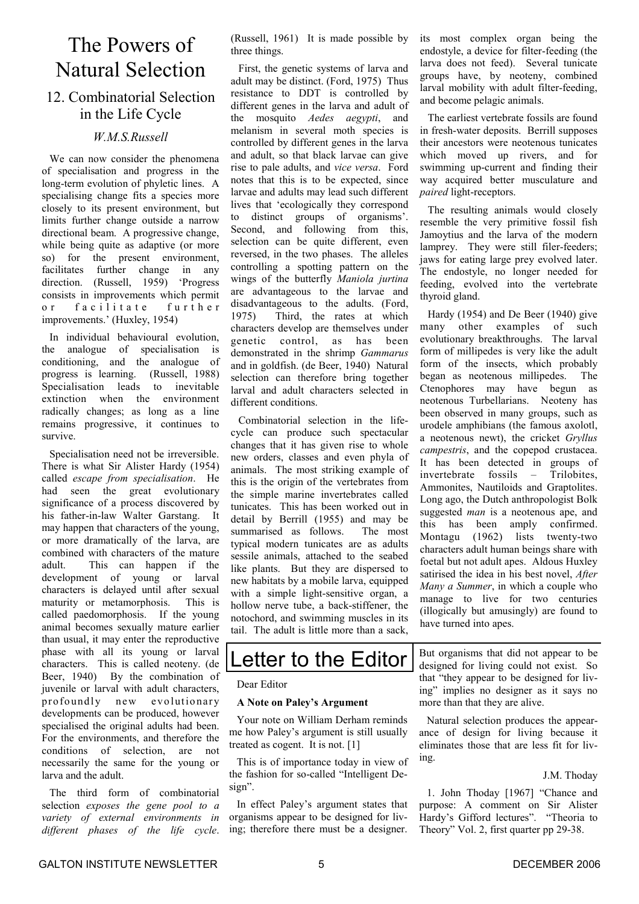### The Powers of Natural Selection

#### 12. Combinatorial Selection in the Life Cycle

#### *W.M.S.Russell*

We can now consider the phenomena of specialisation and progress in the long-term evolution of phyletic lines. A specialising change fits a species more closely to its present environment, but limits further change outside a narrow directional beam. A progressive change, while being quite as adaptive (or more so) for the present environment, facilitates further change in any direction. (Russell, 1959) 'Progress consists in improvements which permit or facilitate further improvements.' (Huxley, 1954)

In individual behavioural evolution, the analogue of specialisation is conditioning, and the analogue of progress is learning. (Russell, 1988) Specialisation leads to inevitable extinction when the environment radically changes; as long as a line remains progressive, it continues to survive.

Specialisation need not be irreversible. There is what Sir Alister Hardy (1954) called *escape from specialisation*. He had seen the great evolutionary significance of a process discovered by his father-in-law Walter Garstang. It may happen that characters of the young, or more dramatically of the larva, are combined with characters of the mature adult. This can happen if the development of young or larval characters is delayed until after sexual maturity or metamorphosis. This is called paedomorphosis. If the young animal becomes sexually mature earlier than usual, it may enter the reproductive phase with all its young or larval characters. This is called neoteny. (de Beer, 1940) By the combination of juvenile or larval with adult characters, profoundly new evolutionary developments can be produced, however specialised the original adults had been. For the environments, and therefore the conditions of selection, are not necessarily the same for the young or larva and the adult.

The third form of combinatorial selection *exposes the gene pool to a variety of external environments in different phases of the life cycle*.

(Russell, 1961) It is made possible by three things.

First, the genetic systems of larva and adult may be distinct. (Ford, 1975) Thus resistance to DDT is controlled by different genes in the larva and adult of the mosquito *Aedes aegypti*, and melanism in several moth species is controlled by different genes in the larva and adult, so that black larvae can give rise to pale adults, and *vice versa*. Ford notes that this is to be expected, since larvae and adults may lead such different lives that 'ecologically they correspond to distinct groups of organisms'. Second, and following from this, selection can be quite different, even reversed, in the two phases. The alleles controlling a spotting pattern on the wings of the butterfly *Maniola jurtina* are advantageous to the larvae and disadvantageous to the adults. (Ford, 1975) Third, the rates at which characters develop are themselves under genetic control, as has been demonstrated in the shrimp *Gammarus* and in goldfish. (de Beer, 1940) Natural selection can therefore bring together larval and adult characters selected in different conditions.

Combinatorial selection in the lifecycle can produce such spectacular changes that it has given rise to whole new orders, classes and even phyla of animals. The most striking example of this is the origin of the vertebrates from the simple marine invertebrates called tunicates. This has been worked out in detail by Berrill (1955) and may be summarised as follows. The most typical modern tunicates are as adults sessile animals, attached to the seabed like plants. But they are dispersed to new habitats by a mobile larva, equipped with a simple light-sensitive organ, a hollow nerve tube, a back-stiffener, the notochord, and swimming muscles in its tail. The adult is little more than a sack

its most complex organ being the endostyle, a device for filter-feeding (the larva does not feed). Several tunicate groups have, by neoteny, combined larval mobility with adult filter-feeding, and become pelagic animals.

The earliest vertebrate fossils are found in fresh-water deposits. Berrill supposes their ancestors were neotenous tunicates which moved up rivers, and for swimming up-current and finding their way acquired better musculature and *paired* light-receptors.

The resulting animals would closely resemble the very primitive fossil fish Jamoytius and the larva of the modern lamprey. They were still filer-feeders; jaws for eating large prey evolved later. The endostyle, no longer needed for feeding, evolved into the vertebrate thyroid gland.

Hardy (1954) and De Beer (1940) give many other examples of such evolutionary breakthroughs. The larval form of millipedes is very like the adult form of the insects, which probably began as neotenous millipedes. The Ctenophores may have begun as neotenous Turbellarians. Neoteny has been observed in many groups, such as urodele amphibians (the famous axolotl, a neotenous newt), the cricket *Gryllus campestris*, and the copepod crustacea. It has been detected in groups of invertebrate fossils – Trilobites, Ammonites, Nautiloids and Graptolites. Long ago, the Dutch anthropologist Bolk suggested *man* is a neotenous ape, and this has been amply confirmed. Montagu (1962) lists twenty-two characters adult human beings share with foetal but not adult apes. Aldous Huxley satirised the idea in his best novel, *After Many a Summer*, in which a couple who manage to live for two centuries (illogically but amusingly) are found to have turned into apes.

### Letter to the Editor

Dear Editor

#### **A Note on Paley's Argument**

Your note on William Derham reminds me how Paley's argument is still usually treated as cogent. It is not. [1]

This is of importance today in view of the fashion for so-called "Intelligent Design".

In effect Paley's argument states that organisms appear to be designed for living; therefore there must be a designer. But organisms that did not appear to be designed for living could not exist. So that "they appear to be designed for living" implies no designer as it says no more than that they are alive.

Natural selection produces the appearance of design for living because it eliminates those that are less fit for living.

#### J.M. Thoday

1. John Thoday [1967] "Chance and purpose: A comment on Sir Alister Hardy's Gifford lectures". "Theoria to Theory" Vol. 2, first quarter pp 29-38.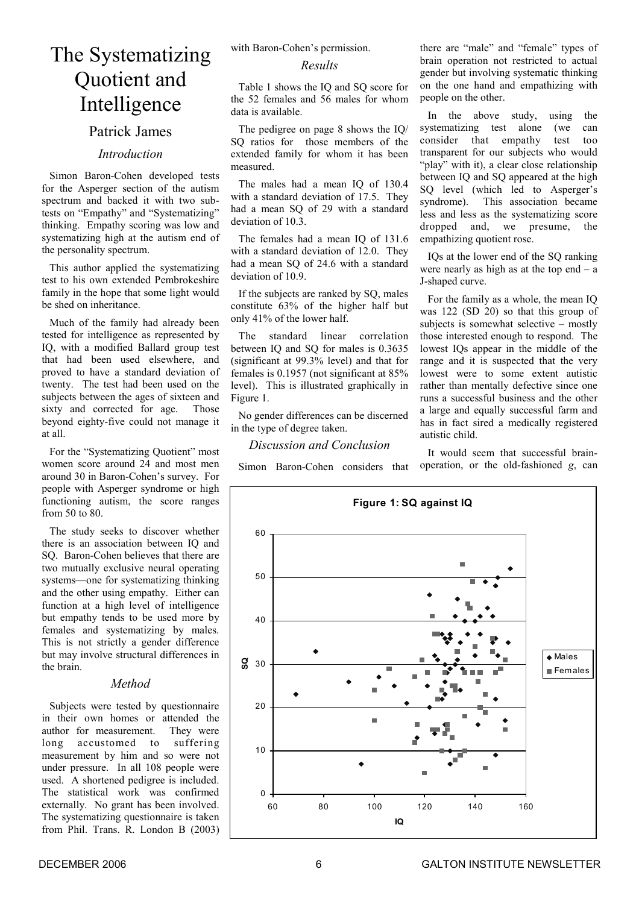### The Systematizing Quotient and Intelligence

#### Patrick James

#### *Introduction*

Simon Baron-Cohen developed tests for the Asperger section of the autism spectrum and backed it with two subtests on "Empathy" and "Systematizing" thinking. Empathy scoring was low and systematizing high at the autism end of the personality spectrum.

This author applied the systematizing test to his own extended Pembrokeshire family in the hope that some light would be shed on inheritance.

Much of the family had already been tested for intelligence as represented by IQ, with a modified Ballard group test that had been used elsewhere, and proved to have a standard deviation of twenty. The test had been used on the subjects between the ages of sixteen and sixty and corrected for age. Those beyond eighty-five could not manage it at all.

For the "Systematizing Quotient" most women score around 24 and most men around 30 in Baron-Cohen's survey. For people with Asperger syndrome or high functioning autism, the score ranges from 50 to 80.

The study seeks to discover whether there is an association between IQ and SQ. Baron-Cohen believes that there are two mutually exclusive neural operating systems—one for systematizing thinking and the other using empathy. Either can function at a high level of intelligence but empathy tends to be used more by females and systematizing by males. This is not strictly a gender difference but may involve structural differences in the brain.

#### *Method*

Subjects were tested by questionnaire in their own homes or attended the author for measurement. They were long accustomed to suffering measurement by him and so were not under pressure. In all 108 people were used. A shortened pedigree is included. The statistical work was confirmed externally. No grant has been involved. The systematizing questionnaire is taken from Phil. Trans. R. London B (2003) with Baron-Cohen's permission.

#### *Results*

Table 1 shows the IQ and SQ score for the 52 females and 56 males for whom data is available.

The pedigree on page 8 shows the IQ/ SO ratios for those members of the extended family for whom it has been measured.

The males had a mean IO of 130.4 with a standard deviation of 17.5. They had a mean SQ of 29 with a standard deviation of 10.3.

The females had a mean IO of 131.6 with a standard deviation of 12.0. They had a mean SO of 24.6 with a standard deviation of 10.9.

If the subjects are ranked by SQ, males constitute 63% of the higher half but only 41% of the lower half.

The standard linear correlation between IQ and SQ for males is 0.3635 (significant at 99.3% level) and that for females is 0.1957 (not significant at 85% level). This is illustrated graphically in Figure 1.

No gender differences can be discerned in the type of degree taken.

#### *Discussion and Conclusion*

Simon Baron-Cohen considers that

there are "male" and "female" types of brain operation not restricted to actual gender but involving systematic thinking on the one hand and empathizing with people on the other.

In the above study, using the systematizing test alone (we can consider that empathy test too transparent for our subjects who would "play" with it), a clear close relationship between IQ and SQ appeared at the high SO level (which led to Asperger's syndrome). This association became less and less as the systematizing score dropped and, we presume, the empathizing quotient rose.

IQs at the lower end of the SQ ranking were nearly as high as at the top end  $-$  a J-shaped curve.

For the family as a whole, the mean IQ was 122 (SD 20) so that this group of subjects is somewhat selective – mostly those interested enough to respond. The lowest IQs appear in the middle of the range and it is suspected that the very lowest were to some extent autistic rather than mentally defective since one runs a successful business and the other a large and equally successful farm and has in fact sired a medically registered autistic child.

It would seem that successful brainoperation, or the old-fashioned *g*, can

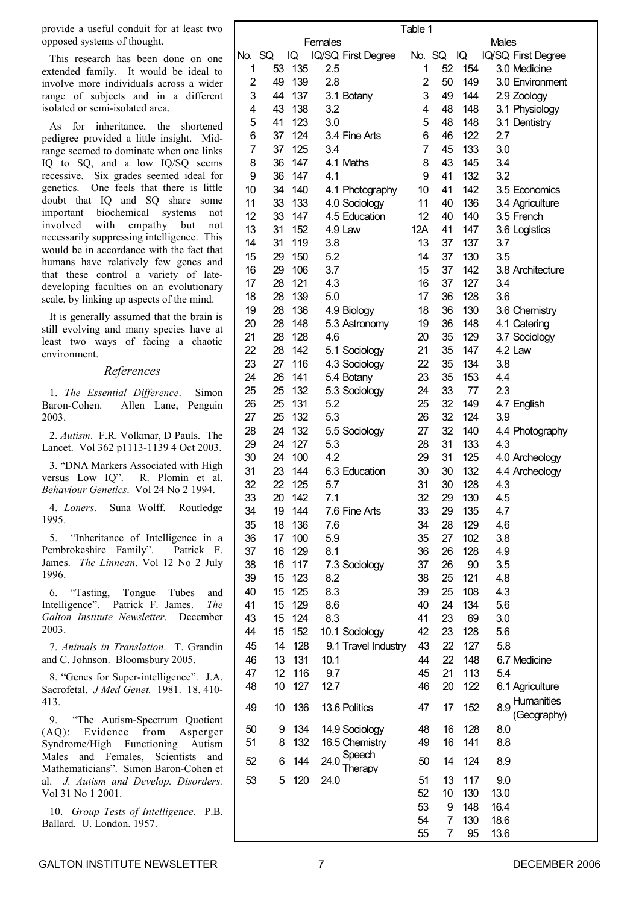provide a useful conduit for at least two opposed systems of thought.

This research has been done on one extended family. It would be ideal to involve more individuals across a wider range of subjects and in a different isolated or semi-isolated area.

As for inheritance, the shortened pedigree provided a little insight. Midrange seemed to dominate when one links IQ to SQ, and a low IQ/SQ seems recessive. Six grades seemed ideal for genetics. One feels that there is little doubt that IQ and SQ share some important biochemical systems not involved with empathy but not necessarily suppressing intelligence. This would be in accordance with the fact that humans have relatively few genes and that these control a variety of latedeveloping faculties on an evolutionary scale, by linking up aspects of the mind.

It is generally assumed that the brain is still evolving and many species have at least two ways of facing a chaotic environment.

#### *References*

1. *The Essential Difference*. Simon Baron-Cohen. Allen Lane, Penguin 2003.

2. *Autism*. F.R. Volkmar, D Pauls. The Lancet. Vol 362 p1113-1139 4 Oct 2003.

3. "DNA Markers Associated with High versus Low IQ". R. Plomin et al. *Behaviour Genetics*. Vol 24 No 2 1994.

4. *Loners*. Suna Wolff. Routledge 1995.

5. "Inheritance of Intelligence in a Pembrokeshire Family". Patrick F. James. *The Linnean*. Vol 12 No 2 July 1996.

6. "Tasting, Tongue Tubes and Intelligence". Patrick F. James. *The Galton Institute Newsletter*. December 2003.

7. *Animals in Translation*. T. Grandin and C. Johnson. Bloomsbury 2005.

8. "Genes for Super-intelligence". J.A. Sacrofetal. *J Med Genet.* 1981. 18. 410- 413.

9. "The Autism-Spectrum Quotient (AQ): Evidence from Asperger Syndrome/High Functioning Autism Males and Females, Scientists and Mathematicians". Simon Baron-Cohen et al. *J. Autism and Develop. Disorders.*  Vol 31 No 1 2001.

10. *Group Tests of Intelligence*. P.B. Ballard. U. London. 1957.

|          |          |            |                           | Table 1        |          |            |              |                               |
|----------|----------|------------|---------------------------|----------------|----------|------------|--------------|-------------------------------|
|          |          |            | Females                   |                |          |            | <b>Males</b> |                               |
| No.      | SQ       | IQ         | IQ/SQ First Degree        | No. SQ         |          | IQ         |              | IQ/SQ First Degree            |
| 1        | 53       | 135        | 2.5                       | 1              | 52       | 154        |              | 3.0 Medicine                  |
| 2        | 49       | 139        | 2.8                       | $\overline{2}$ | 50       | 149        |              | 3.0 Environment               |
| 3        | 44       | 137        | 3.1 Botany                | 3              | 49       | 144        |              | 2.9 Zoology                   |
| 4        | 43       | 138        | 3.2                       | 4              | 48       | 148        |              | 3.1 Physiology                |
| 5        | 41       | 123        | 3.0                       | 5              | 48       | 148        |              | 3.1 Dentistry                 |
| 6        | 37       | 124        | 3.4 Fine Arts             | 6              | 46       | 122        | 2.7          |                               |
| 7        | 37       | 125        | 3.4                       | 7              | 45       | 133        | 3.0          |                               |
| 8        | 36       | 147        | 4.1 Maths                 | 8              | 43       | 145        | 3.4          |                               |
| 9        | 36       | 147        | 4.1                       | 9              | 41       | 132        | 3.2          |                               |
| 10       | 34       | 140        | 4.1 Photography           | 10             | 41       | 142        |              | 3.5 Economics                 |
| 11       | 33       | 133        | 4.0 Sociology             | 11<br>12       | 40       | 136        |              | 3.4 Agriculture               |
| 12       | 33       | 147        | 4.5 Education             |                | 40       | 140        |              | 3.5 French                    |
| 13<br>14 | 31<br>31 | 152<br>119 | 4.9 Law<br>3.8            | 12A<br>13      | 41<br>37 | 147<br>137 | 3.7          | 3.6 Logistics                 |
| 15       | 29       | 150        | 5.2                       | 14             | 37       | 130        | 3.5          |                               |
| 16       | 29       | 106        | 3.7                       | 15             | 37       | 142        |              | 3.8 Architecture              |
| 17       | 28       | 121        | 4.3                       | 16             | 37       | 127        | 3.4          |                               |
| 18       | 28       | 139        | 5.0                       | 17             | 36       | 128        | 3.6          |                               |
| 19       | 28       | 136        | 4.9 Biology               | 18             | 36       | 130        |              | 3.6 Chemistry                 |
| 20       | 28       | 148        | 5.3 Astronomy             | 19             | 36       | 148        |              | 4.1 Catering                  |
| 21       | 28       | 128        | 4.6                       | 20             | 35       | 129        |              | 3.7 Sociology                 |
| 22       | 28       | 142        | 5.1 Sociology             | 21             | 35       | 147        |              | 4.2 Law                       |
| 23       | 27       | 116        | 4.3 Sociology             | 22             | 35       | 134        | 3.8          |                               |
| 24       | 26       | 141        | 5.4 Botany                | 23             | 35       | 153        | 4.4          |                               |
| 25       | 25       | 132        | 5.3 Sociology             | 24             | 33       | 77         | 2.3          |                               |
| 26       | 25       | 131        | 5.2                       | 25             | 32       | 149        |              | 4.7 English                   |
| 27       | 25       | 132        | 5.3                       | 26             | 32       | 124        | 3.9          |                               |
| 28       | 24       | 132        | 5.5 Sociology             | 27             | 32       | 140        |              | 4.4 Photography               |
| 29       | 24       | 127        | 5.3                       | 28             | 31       | 133        | 4.3          |                               |
| 30       | 24       | 100        | 4.2                       | 29             | 31       | 125        |              | 4.0 Archeology                |
| 31       | 23       | 144        | 6.3 Education             | 30             | 30       | 132        |              | 4.4 Archeology                |
| 32       | 22       | 125        | 5.7                       | 31             | 30       | 128        | 4.3          |                               |
| 33       | 20       | 142        | 7.1                       | 32             | 29       | 130        | 4.5          |                               |
| 34       | 19       | 144        | 7.6 Fine Arts             | 33             | 29       | 135        | 4.7          |                               |
| 35       | 18       | 136        | 7.6                       | 34             | 28       | 129        | 4.6          |                               |
| 36       | 17       | 100        | 5.9                       | 35             | 27       | 102        | 3.8          |                               |
| 37       | 16       | 129        | 8.1                       | 36             | 26       | 128        | 4.9          |                               |
| 38       | 16       | 117        | 7.3 Sociology             | 37             | 26       | 90         | 3.5          |                               |
| 39       | 15       | 123        | 8.2                       | 38             | 25       | 121        | 4.8          |                               |
| 40       | 15       | 125        | 8.3                       | 39             | 25       | 108        | 4.3          |                               |
| 41       | 15       | 129        | 8.6                       | 40             | 24       | 134        | 5.6          |                               |
| 43       | 15       | 124        | 8.3                       | 41             | 23       | 69         | 3.0          |                               |
| 44       | 15       | 152        | 10.1 Sociology            | 42             | 23       | 128        | 5.6          |                               |
| 45       | 14       | 128        | 9.1 Travel Industry       | 43             | 22       | 127        | 5.8          |                               |
| 46       | 13       | 131        | 10.1                      | 44             | 22       | 148        |              | 6.7 Medicine                  |
| 47       | 12       | 116        | 9.7                       | 45             | 21       | 113        | 5.4          |                               |
| 48       | 10       | 127        | 12.7                      | 46             | 20       | 122        |              | 6.1 Agriculture               |
| 49       | 10       | 136        | 13.6 Politics             | 47             | 17       | 152        |              | 8.9 Humanities<br>(Geography) |
| 50       | 9        | 134        | 14.9 Sociology            | 48             | 16       | 128        | 8.0          |                               |
| 51       | 8        | 132        | 16.5 Chemistry            | 49             | 16       | 141        | 8.8          |                               |
| 52       | 6        | 144        | Speech<br>24.0<br>Therapy | 50             | 14       | 124        | 8.9          |                               |
| 53       | 5        | 120        | 24.0                      | 51             | 13       | 117        | 9.0          |                               |
|          |          |            |                           | 52             | 10       | 130        | 13.0         |                               |
|          |          |            |                           | 53             | 9        | 148        | 16.4         |                               |
|          |          |            |                           | 54             | 7        | 130        | 18.6         |                               |
|          |          |            |                           | 55             | 7        | 95         | 13.6         |                               |